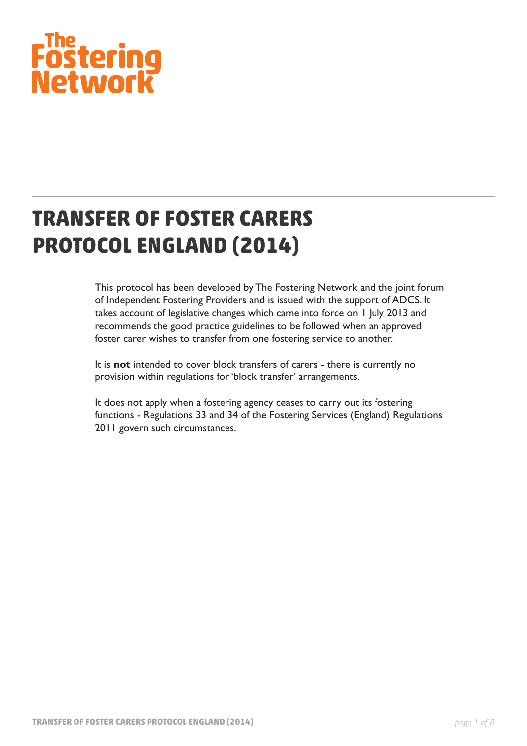# Fostering<br>Network

# **TRANSFER OF FOSTER CARERS PROTOCOL ENGLAND (2014)**

This protocol has been developed by The Fostering Network and the joint forum of Independent Fostering Providers and is issued with the support of ADCS. It takes account of legislative changes which came into force on 1 July 2013 and recommends the good practice guidelines to be followed when an approved foster carer wishes to transfer from one fostering service to another.

It is **not** intended to cover block transfers of carers - there is currently no provision within regulations for 'block transfer' arrangements.

It does not apply when a fostering agency ceases to carry out its fostering functions - Regulations 33 and 34 of the Fostering Services (England) Regulations 2011 govern such circumstances.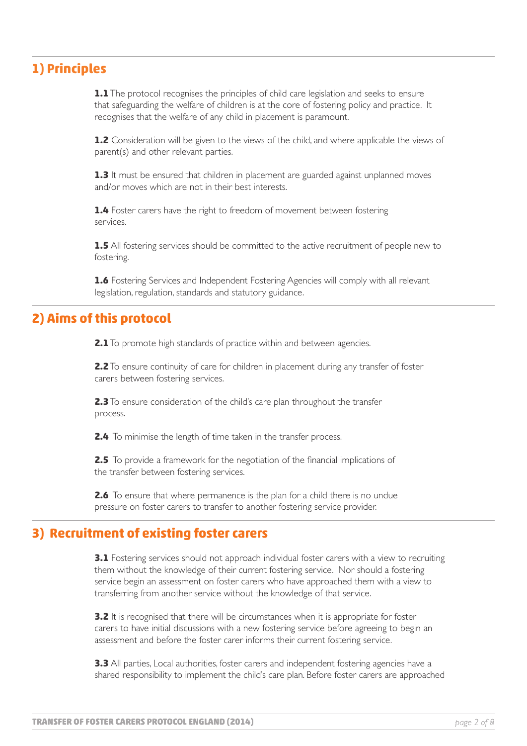# **1) Principles**

**1.1** The protocol recognises the principles of child care legislation and seeks to ensure that safeguarding the welfare of children is at the core of fostering policy and practice. It recognises that the welfare of any child in placement is paramount.

1.2 Consideration will be given to the views of the child, and where applicable the views of parent(s) and other relevant parties.

**1.3** It must be ensured that children in placement are guarded against unplanned moves and/or moves which are not in their best interests.

**1.4** Foster carers have the right to freedom of movement between fostering services.

**1.5** All fostering services should be committed to the active recruitment of people new to fostering.

**1.6** Fostering Services and Independent Fostering Agencies will comply with all relevant legislation, regulation, standards and statutory guidance.

#### **2) Aims of this protocol**

**2.1** To promote high standards of practice within and between agencies.

**2.2** To ensure continuity of care for children in placement during any transfer of foster carers between fostering services.

**2.3** To ensure consideration of the child's care plan throughout the transfer process.

**2.4** To minimise the length of time taken in the transfer process.

**2.5** To provide a framework for the negotiation of the financial implications of the transfer between fostering services.

**2.6** To ensure that where permanence is the plan for a child there is no undue pressure on foster carers to transfer to another fostering service provider.

#### **3) Recruitment of existing foster carers**

**3.1** Fostering services should not approach individual foster carers with a view to recruiting them without the knowledge of their current fostering service. Nor should a fostering service begin an assessment on foster carers who have approached them with a view to transferring from another service without the knowledge of that service.

**3.2** It is recognised that there will be circumstances when it is appropriate for foster carers to have initial discussions with a new fostering service before agreeing to begin an assessment and before the foster carer informs their current fostering service.

**3.3** All parties, Local authorities, foster carers and independent fostering agencies have a shared responsibility to implement the child's care plan. Before foster carers are approached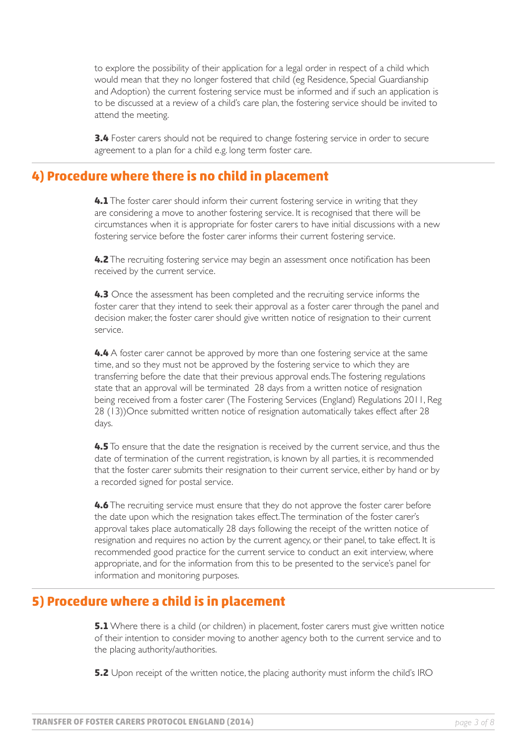to explore the possibility of their application for a legal order in respect of a child which would mean that they no longer fostered that child (eg Residence, Special Guardianship and Adoption) the current fostering service must be informed and if such an application is to be discussed at a review of a child's care plan, the fostering service should be invited to attend the meeting.

**3.4** Foster carers should not be required to change fostering service in order to secure agreement to a plan for a child e.g. long term foster care.

#### **4) Procedure where there is no child in placement**

**4.1** The foster carer should inform their current fostering service in writing that they are considering a move to another fostering service. It is recognised that there will be circumstances when it is appropriate for foster carers to have initial discussions with a new fostering service before the foster carer informs their current fostering service.

**4.2** The recruiting fostering service may begin an assessment once notification has been received by the current service.

**4.3** Once the assessment has been completed and the recruiting service informs the foster carer that they intend to seek their approval as a foster carer through the panel and decision maker, the foster carer should give written notice of resignation to their current service.

**4.4** A foster carer cannot be approved by more than one fostering service at the same time, and so they must not be approved by the fostering service to which they are transferring before the date that their previous approval ends. The fostering regulations state that an approval will be terminated 28 days from a written notice of resignation being received from a foster carer (The Fostering Services (England) Regulations 2011, Reg 28 (13))Once submitted written notice of resignation automatically takes effect after 28 days.

**4.5** To ensure that the date the resignation is received by the current service, and thus the date of termination of the current registration, is known by all parties, it is recommended that the foster carer submits their resignation to their current service, either by hand or by a recorded signed for postal service.

**4.6** The recruiting service must ensure that they do not approve the foster carer before the date upon which the resignation takes effect. The termination of the foster carer's approval takes place automatically 28 days following the receipt of the written notice of resignation and requires no action by the current agency, or their panel, to take effect. It is recommended good practice for the current service to conduct an exit interview, where appropriate, and for the information from this to be presented to the service's panel for information and monitoring purposes.

#### **5) Procedure where a child is in placement**

**5.1** Where there is a child (or children) in placement, foster carers must give written notice of their intention to consider moving to another agency both to the current service and to the placing authority/authorities.

**5.2** Upon receipt of the written notice, the placing authority must inform the child's IRO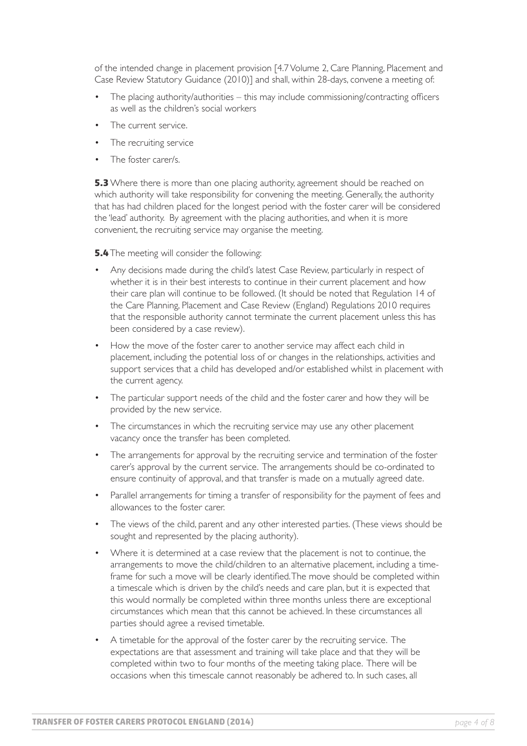of the intended change in placement provision [4.7 Volume 2, Care Planning, Placement and Case Review Statutory Guidance (2010)] and shall, within 28-days, convene a meeting of:

- The placing authority/authorities this may include commissioning/contracting officers as well as the children's social workers •
- The current service. •
- The recruiting service •
- The foster carer/s. •

**5.3** Where there is more than one placing authority, agreement should be reached on which authority will take responsibility for convening the meeting. Generally, the authority that has had children placed for the longest period with the foster carer will be considered the 'lead' authority. By agreement with the placing authorities, and when it is more convenient, the recruiting service may organise the meeting.

**5.4** The meeting will consider the following:

- Any decisions made during the child's latest Case Review, particularly in respect of whether it is in their best interests to continue in their current placement and how their care plan will continue to be followed. (It should be noted that Regulation 14 of the Care Planning, Placement and Case Review (England) Regulations 2010 requires that the responsible authority cannot terminate the current placement unless this has been considered by a case review). •
- How the move of the foster carer to another service may affect each child in placement, including the potential loss of or changes in the relationships, activities and support services that a child has developed and/or established whilst in placement with the current agency.
- The particular support needs of the child and the foster carer and how they will be provided by the new service. •
- The circumstances in which the recruiting service may use any other placement vacancy once the transfer has been completed. •
- The arrangements for approval by the recruiting service and termination of the foster carer's approval by the current service. The arrangements should be co-ordinated to ensure continuity of approval, and that transfer is made on a mutually agreed date. •
- Parallel arrangements for timing a transfer of responsibility for the payment of fees and allowances to the foster carer. •
- The views of the child, parent and any other interested parties. (These views should be sought and represented by the placing authority). •
- Where it is determined at a case review that the placement is not to continue, the arrangements to move the child/children to an alternative placement, including a timeframe for such a move will be clearly identified. The move should be completed within a timescale which is driven by the child's needs and care plan, but it is expected that this would normally be completed within three months unless there are exceptional circumstances which mean that this cannot be achieved. In these circumstances all parties should agree a revised timetable. •
- A timetable for the approval of the foster carer by the recruiting service. The expectations are that assessment and training will take place and that they will be completed within two to four months of the meeting taking place. There will be occasions when this timescale cannot reasonably be adhered to. In such cases, all •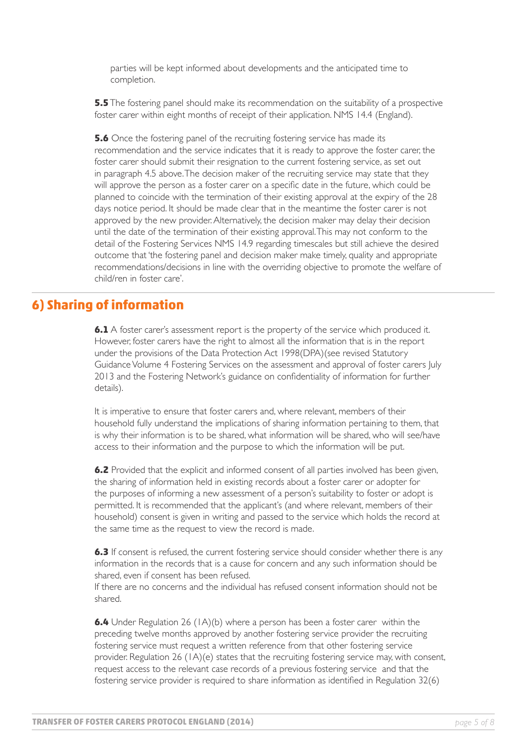parties will be kept informed about developments and the anticipated time to completion.

**5.5** The fostering panel should make its recommendation on the suitability of a prospective foster carer within eight months of receipt of their application. NMS 14.4 (England).

**5.6** Once the fostering panel of the recruiting fostering service has made its recommendation and the service indicates that it is ready to approve the foster carer, the foster carer should submit their resignation to the current fostering service, as set out in paragraph 4.5 above. The decision maker of the recruiting service may state that they will approve the person as a foster carer on a specific date in the future, which could be planned to coincide with the termination of their existing approval at the expiry of the 28 days notice period. It should be made clear that in the meantime the foster carer is not approved by the new provider. Alternatively, the decision maker may delay their decision until the date of the termination of their existing approval. This may not conform to the detail of the Fostering Services NMS 14.9 regarding timescales but still achieve the desired outcome that 'the fostering panel and decision maker make timely, quality and appropriate recommendations/decisions in line with the overriding objective to promote the welfare of child/ren in foster care'.

#### **6) Sharing of information**

**6.1** A foster carer's assessment report is the property of the service which produced it. However, foster carers have the right to almost all the information that is in the report under the provisions of the Data Protection Act 1998(DPA)(see revised Statutory Guidance Volume 4 Fostering Services on the assessment and approval of foster carers July 2013 and the Fostering Network's guidance on confidentiality of information for further details).

It is imperative to ensure that foster carers and, where relevant, members of their household fully understand the implications of sharing information pertaining to them, that is why their information is to be shared, what information will be shared, who will see/have access to their information and the purpose to which the information will be put.

**6.2** Provided that the explicit and informed consent of all parties involved has been given, the sharing of information held in existing records about a foster carer or adopter for the purposes of informing a new assessment of a person's suitability to foster or adopt is permitted. It is recommended that the applicant's (and where relevant, members of their household) consent is given in writing and passed to the service which holds the record at the same time as the request to view the record is made.

**6.3** If consent is refused, the current fostering service should consider whether there is any information in the records that is a cause for concern and any such information should be shared, even if consent has been refused.

If there are no concerns and the individual has refused consent information should not be shared.

**6.4** Under Regulation 26 (1A)(b) where a person has been a foster carer within the preceding twelve months approved by another fostering service provider the recruiting fostering service must request a written reference from that other fostering service provider. Regulation 26 (1A)(e) states that the recruiting fostering service may, with consent, request access to the relevant case records of a previous fostering service and that the fostering service provider is required to share information as identified in Regulation 32(6)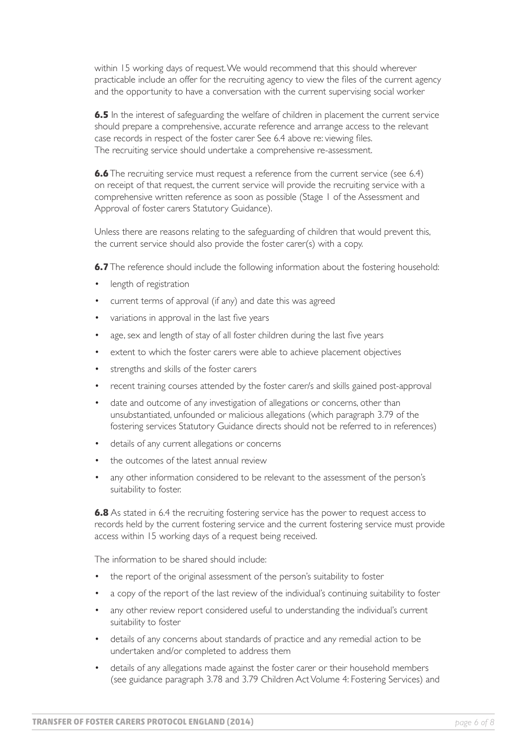within 15 working days of request. We would recommend that this should wherever practicable include an offer for the recruiting agency to view the files of the current agency and the opportunity to have a conversation with the current supervising social worker

**6.5** In the interest of safeguarding the welfare of children in placement the current service should prepare a comprehensive, accurate reference and arrange access to the relevant case records in respect of the foster carer See 6.4 above re: viewing files. The recruiting service should undertake a comprehensive re-assessment.

**6.6** The recruiting service must request a reference from the current service (see 6.4) on receipt of that request, the current service will provide the recruiting service with a comprehensive written reference as soon as possible (Stage 1 of the Assessment and Approval of foster carers Statutory Guidance).

Unless there are reasons relating to the safeguarding of children that would prevent this, the current service should also provide the foster carer(s) with a copy.

**6.7** The reference should include the following information about the fostering household:

- length of registration •
- current terms of approval (if any) and date this was agreed •
- variations in approval in the last five years •
- age, sex and length of stay of all foster children during the last five years •
- extent to which the foster carers were able to achieve placement objectives •
- strengths and skills of the foster carers •
- recent training courses attended by the foster carer/s and skills gained post-approval •
- date and outcome of any investigation of allegations or concerns, other than unsubstantiated, unfounded or malicious allegations (which paragraph 3.79 of the fostering services Statutory Guidance directs should not be referred to in references) •
- details of any current allegations or concerns •
- the outcomes of the latest annual review •
- any other information considered to be relevant to the assessment of the person's suitability to foster. •

**6.8** As stated in 6.4 the recruiting fostering service has the power to request access to records held by the current fostering service and the current fostering service must provide access within 15 working days of a request being received.

The information to be shared should include:

- the report of the original assessment of the person's suitability to foster •
- a copy of the report of the last review of the individual's continuing suitability to foster •
- any other review report considered useful to understanding the individual's current suitability to foster •
- details of any concerns about standards of practice and any remedial action to be undertaken and/or completed to address them •
- details of any allegations made against the foster carer or their household members (see guidance paragraph 3.78 and 3.79 Children Act Volume 4: Fostering Services) and •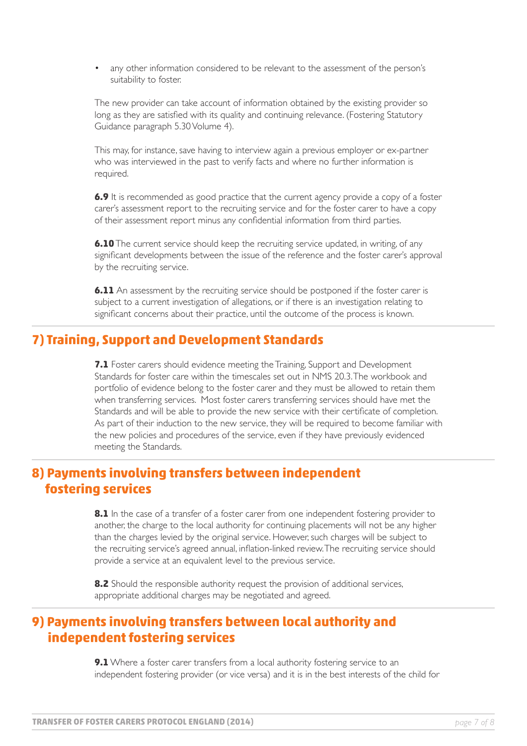any other information considered to be relevant to the assessment of the person's suitability to foster. •

The new provider can take account of information obtained by the existing provider so long as they are satisfied with its quality and continuing relevance. (Fostering Statutory Guidance paragraph 5.30 Volume 4).

This may, for instance, save having to interview again a previous employer or ex-partner who was interviewed in the past to verify facts and where no further information is required.

**6.9** It is recommended as good practice that the current agency provide a copy of a foster carer's assessment report to the recruiting service and for the foster carer to have a copy of their assessment report minus any confidential information from third parties.

**6.10** The current service should keep the recruiting service updated, in writing, of any significant developments between the issue of the reference and the foster carer's approval by the recruiting service.

**6.11** An assessment by the recruiting service should be postponed if the foster carer is subject to a current investigation of allegations, or if there is an investigation relating to significant concerns about their practice, until the outcome of the process is known.

## **7) Training, Support and Development Standards**

**7.1** Foster carers should evidence meeting the Training, Support and Development Standards for foster care within the timescales set out in NMS 20.3. The workbook and portfolio of evidence belong to the foster carer and they must be allowed to retain them when transferring services. Most foster carers transferring services should have met the Standards and will be able to provide the new service with their certificate of completion. As part of their induction to the new service, they will be required to become familiar with the new policies and procedures of the service, even if they have previously evidenced meeting the Standards.

#### **8) Payments involving transfers between independent fostering services**

8.1 In the case of a transfer of a foster carer from one independent fostering provider to another, the charge to the local authority for continuing placements will not be any higher than the charges levied by the original service. However, such charges will be subject to the recruiting service's agreed annual, inflation-linked review. The recruiting service should provide a service at an equivalent level to the previous service.

**8.2** Should the responsible authority request the provision of additional services, appropriate additional charges may be negotiated and agreed.

## **9) Payments involving transfers between local authority and independent fostering services**

**9.1** Where a foster carer transfers from a local authority fostering service to an independent fostering provider (or vice versa) and it is in the best interests of the child for